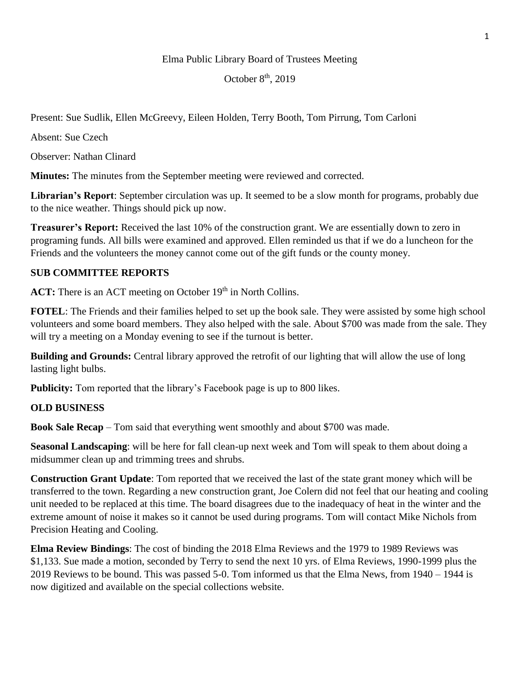## Elma Public Library Board of Trustees Meeting

October  $8<sup>th</sup>$ , 2019

Present: Sue Sudlik, Ellen McGreevy, Eileen Holden, Terry Booth, Tom Pirrung, Tom Carloni

Absent: Sue Czech

Observer: Nathan Clinard

**Minutes:** The minutes from the September meeting were reviewed and corrected.

**Librarian's Report**: September circulation was up. It seemed to be a slow month for programs, probably due to the nice weather. Things should pick up now.

**Treasurer's Report:** Received the last 10% of the construction grant. We are essentially down to zero in programing funds. All bills were examined and approved. Ellen reminded us that if we do a luncheon for the Friends and the volunteers the money cannot come out of the gift funds or the county money.

# **SUB COMMITTEE REPORTS**

ACT: There is an ACT meeting on October 19<sup>th</sup> in North Collins.

**FOTEL**: The Friends and their families helped to set up the book sale. They were assisted by some high school volunteers and some board members. They also helped with the sale. About \$700 was made from the sale. They will try a meeting on a Monday evening to see if the turnout is better.

**Building and Grounds:** Central library approved the retrofit of our lighting that will allow the use of long lasting light bulbs.

**Publicity:** Tom reported that the library's Facebook page is up to 800 likes.

## **OLD BUSINESS**

**Book Sale Recap** – Tom said that everything went smoothly and about \$700 was made.

**Seasonal Landscaping**: will be here for fall clean-up next week and Tom will speak to them about doing a midsummer clean up and trimming trees and shrubs.

**Construction Grant Update**: Tom reported that we received the last of the state grant money which will be transferred to the town. Regarding a new construction grant, Joe Colern did not feel that our heating and cooling unit needed to be replaced at this time. The board disagrees due to the inadequacy of heat in the winter and the extreme amount of noise it makes so it cannot be used during programs. Tom will contact Mike Nichols from Precision Heating and Cooling.

**Elma Review Bindings**: The cost of binding the 2018 Elma Reviews and the 1979 to 1989 Reviews was \$1,133. Sue made a motion, seconded by Terry to send the next 10 yrs. of Elma Reviews, 1990-1999 plus the 2019 Reviews to be bound. This was passed 5-0. Tom informed us that the Elma News, from 1940 – 1944 is now digitized and available on the special collections website.